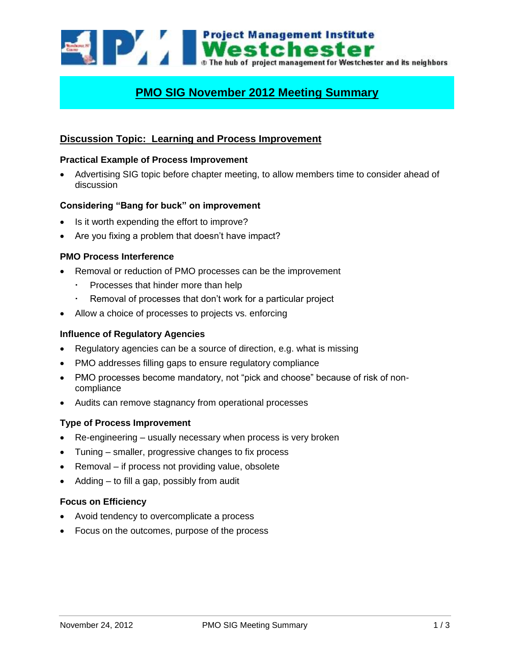

# **PMO SIG November 2012 Meeting Summary**

## **Discussion Topic: Learning and Process Improvement**

#### **Practical Example of Process Improvement**

 Advertising SIG topic before chapter meeting, to allow members time to consider ahead of discussion

### **Considering "Bang for buck" on improvement**

- Is it worth expending the effort to improve?
- Are you fixing a problem that doesn't have impact?

## **PMO Process Interference**

- Removal or reduction of PMO processes can be the improvement
	- Processes that hinder more than help
	- Removal of processes that don't work for a particular project
- Allow a choice of processes to projects vs. enforcing

#### **Influence of Regulatory Agencies**

- Regulatory agencies can be a source of direction, e.g. what is missing
- PMO addresses filling gaps to ensure regulatory compliance
- PMO processes become mandatory, not "pick and choose" because of risk of noncompliance
- Audits can remove stagnancy from operational processes

#### **Type of Process Improvement**

- Re-engineering usually necessary when process is very broken
- Tuning smaller, progressive changes to fix process
- Removal if process not providing value, obsolete
- Adding to fill a gap, possibly from audit

#### **Focus on Efficiency**

- Avoid tendency to overcomplicate a process
- Focus on the outcomes, purpose of the process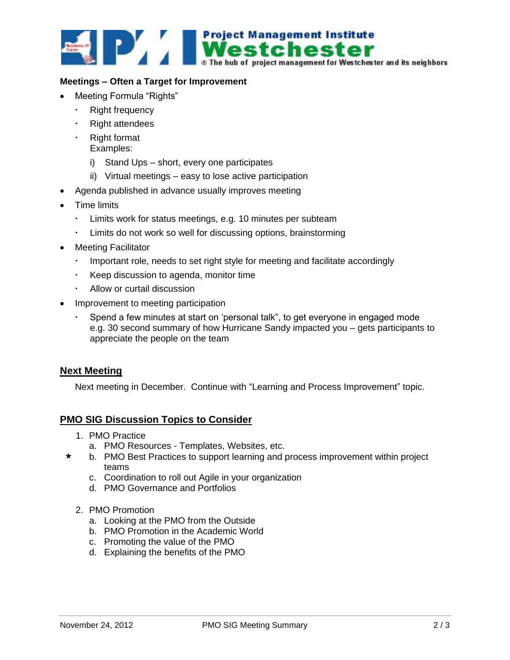

## **Meetings – Often a Target for Improvement**

- Meeting Formula "Rights"
	- Right frequency
	- Right attendees
	- Right format
	- Examples:
		- i) Stand Ups short, every one participates
		- ii) Virtual meetings easy to lose active participation
- Agenda published in advance usually improves meeting
- Time limits
	- Limits work for status meetings, e.g. 10 minutes per subteam
	- Limits do not work so well for discussing options, brainstorming
- Meeting Facilitator
	- . Important role, needs to set right style for meeting and facilitate accordingly
	- Keep discussion to agenda, monitor time
	- Allow or curtail discussion
- Improvement to meeting participation
	- Spend a few minutes at start on 'personal talk", to get everyone in engaged mode e.g. 30 second summary of how Hurricane Sandy impacted you – gets participants to appreciate the people on the team

## **Next Meeting**

Next meeting in December. Continue with "Learning and Process Improvement" topic.

## **PMO SIG Discussion Topics to Consider**

- 1. PMO Practice
	- a. PMO Resources Templates, Websites, etc.
- b. PMO Best Practices to support learning and process improvement within project teams
	- c. Coordination to roll out Agile in your organization
	- d. PMO Governance and Portfolios
	- 2. PMO Promotion
		- a. Looking at the PMO from the Outside
		- b. PMO Promotion in the Academic World
		- c. Promoting the value of the PMO
		- d. Explaining the benefits of the PMO